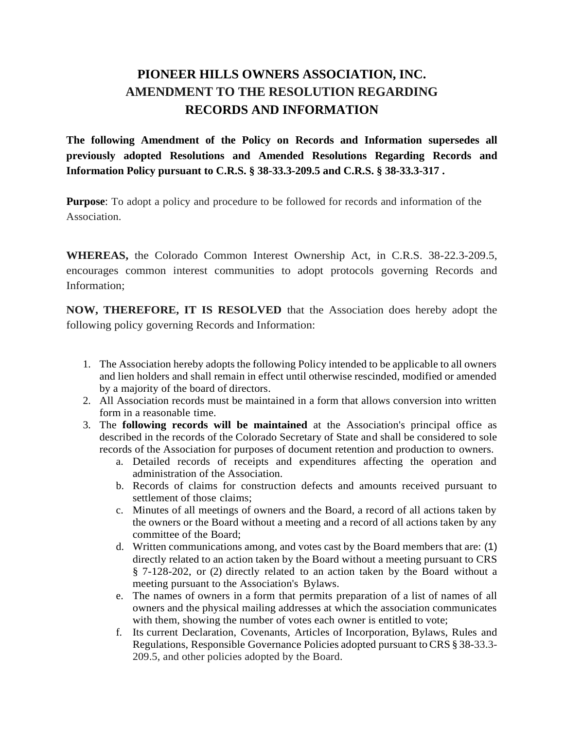## **PIONEER HILLS OWNERS ASSOCIATION, INC. AMENDMENT TO THE RESOLUTION REGARDING RECORDS AND INFORMATION**

**The following Amendment of the Policy on Records and Information supersedes all previously adopted Resolutions and Amended Resolutions Regarding Records and Information Policy pursuant to C.R.S. § 38-33.3-209.5 and C.R.S. § 38-33.3-317 .**

**Purpose**: To adopt a policy and procedure to be followed for records and information of the Association.

**WHEREAS,** the Colorado Common Interest Ownership Act, in C.R.S. 38-22.3-209.5, encourages common interest communities to adopt protocols governing Records and Information;

**NOW, THEREFORE, IT IS RESOLVED** that the Association does hereby adopt the following policy governing Records and Information:

- 1. The Association hereby adopts the following Policy intended to be applicable to all owners and lien holders and shall remain in effect until otherwise rescinded, modified or amended by a majority of the board of directors.
- 2. All Association records must be maintained in a form that allows conversion into written form in a reasonable time.
- 3. The **following records will be maintained** at the Association's principal office as described in the records of the Colorado Secretary of State and shall be considered to sole records of the Association for purposes of document retention and production to owners.
	- a. Detailed records of receipts and expenditures affecting the operation and administration of the Association.
	- b. Records of claims for construction defects and amounts received pursuant to settlement of those claims;
	- c. Minutes of all meetings of owners and the Board, a record of all actions taken by the owners or the Board without a meeting and a record of all actions taken by any committee of the Board;
	- d. Written communications among, and votes cast by the Board members that are: (1) directly related to an action taken by the Board without a meeting pursuant to CRS § 7-128-202, or (2) directly related to an action taken by the Board without a meeting pursuant to the Association's Bylaws.
	- e. The names of owners in a form that permits preparation of a list of names of all owners and the physical mailing addresses at which the association communicates with them, showing the number of votes each owner is entitled to vote;
	- f. Its current Declaration, Covenants, Articles of Incorporation, Bylaws, Rules and Regulations, Responsible Governance Policies adopted pursuant to CRS § 38-33.3- 209.5, and other policies adopted by the Board.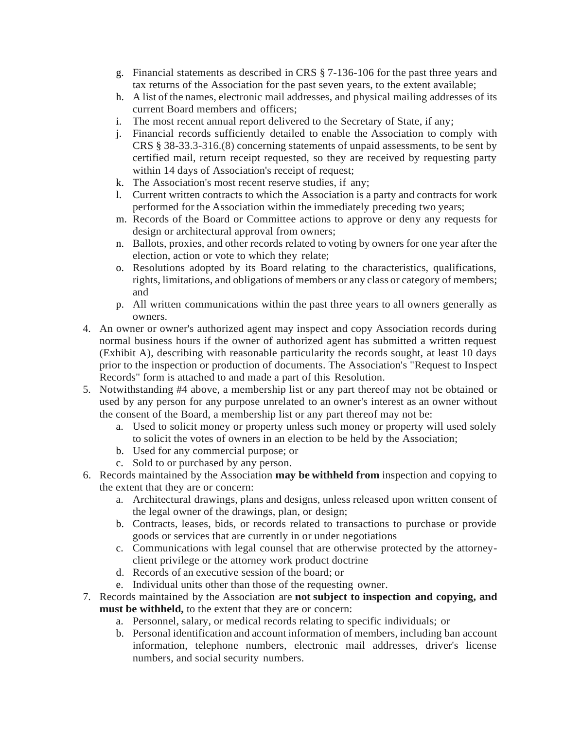- g. Financial statements as described in CRS § 7-136-106 for the past three years and tax returns of the Association for the past seven years, to the extent available;
- h. A list of the names, electronic mail addresses, and physical mailing addresses of its current Board members and officers;
- i. The most recent annual report delivered to the Secretary of State, if any;
- j. Financial records sufficiently detailed to enable the Association to comply with CRS § 38-33.3-316.(8) concerning statements of unpaid assessments, to be sent by certified mail, return receipt requested, so they are received by requesting party within 14 days of Association's receipt of request;
- k. The Association's most recent reserve studies, if any;
- l. Current written contracts to which the Association is a party and contracts for work performed for the Association within the immediately preceding two years;
- m. Records of the Board or Committee actions to approve or deny any requests for design or architectural approval from owners;
- n. Ballots, proxies, and other records related to voting by owners for one year after the election, action or vote to which they relate;
- o. Resolutions adopted by its Board relating to the characteristics, qualifications, rights, limitations, and obligations of members or any class or category of members; and
- p. All written communications within the past three years to all owners generally as owners.
- 4. An owner or owner's authorized agent may inspect and copy Association records during normal business hours if the owner of authorized agent has submitted a written request (Exhibit A), describing with reasonable particularity the records sought, at least 10 days prior to the inspection or production of documents. The Association's "Request to Inspect Records" form is attached to and made a part of this Resolution.
- 5. Notwithstanding #4 above, a membership list or any part thereof may not be obtained or used by any person for any purpose unrelated to an owner's interest as an owner without the consent of the Board, a membership list or any part thereof may not be:
	- a. Used to solicit money or property unless such money or property will used solely to solicit the votes of owners in an election to be held by the Association;
	- b. Used for any commercial purpose; or
	- c. Sold to or purchased by any person.
- 6. Records maintained by the Association **may be withheld from** inspection and copying to the extent that they are or concern:
	- a. Architectural drawings, plans and designs, unless released upon written consent of the legal owner of the drawings, plan, or design;
	- b. Contracts, leases, bids, or records related to transactions to purchase or provide goods or services that are currently in or under negotiations
	- c. Communications with legal counsel that are otherwise protected by the attorneyclient privilege or the attorney work product doctrine
	- d. Records of an executive session of the board; or
	- e. Individual units other than those of the requesting owner.
- 7. Records maintained by the Association are **not subject to inspection and copying, and must be withheld,** to the extent that they are or concern:
	- a. Personnel, salary, or medical records relating to specific individuals; or
	- b. Personal identification and account information of members, including ban account information, telephone numbers, electronic mail addresses, driver's license numbers, and social security numbers.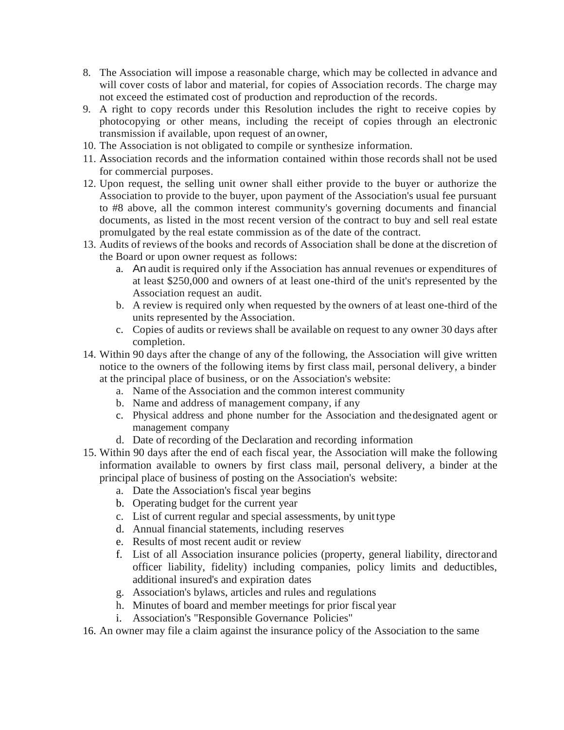- 8. The Association will impose a reasonable charge, which may be collected in advance and will cover costs of labor and material, for copies of Association records. The charge may not exceed the estimated cost of production and reproduction of the records.
- 9. A right to copy records under this Resolution includes the right to receive copies by photocopying or other means, including the receipt of copies through an electronic transmission if available, upon request of an owner,
- 10. The Association is not obligated to compile or synthesize information.
- 11. Association records and the information contained within those records shall not be used for commercial purposes.
- 12. Upon request, the selling unit owner shall either provide to the buyer or authorize the Association to provide to the buyer, upon payment of the Association's usual fee pursuant to #8 above, all the common interest community's governing documents and financial documents, as listed in the most recent version of the contract to buy and sell real estate promulgated by the real estate commission as of the date of the contract.
- 13. Audits of reviews of the books and records of Association shall be done at the discretion of the Board or upon owner request as follows:
	- a. An audit is required only if the Association has annual revenues or expenditures of at least \$250,000 and owners of at least one-third of the unit's represented by the Association request an audit.
	- b. A review is required only when requested by the owners of at least one-third of the units represented by the Association.
	- c. Copies of audits or reviews shall be available on request to any owner 30 days after completion.
- 14. Within 90 days after the change of any of the following, the Association will give written notice to the owners of the following items by first class mail, personal delivery, a binder at the principal place of business, or on the Association's website:
	- a. Name of the Association and the common interest community
	- b. Name and address of management company, if any
	- c. Physical address and phone number for the Association and thedesignated agent or management company
	- d. Date of recording of the Declaration and recording information
- 15. Within 90 days after the end of each fiscal year, the Association will make the following information available to owners by first class mail, personal delivery, a binder at the principal place of business of posting on the Association's website:
	- a. Date the Association's fiscal year begins
	- b. Operating budget for the current year
	- c. List of current regular and special assessments, by unit type
	- d. Annual financial statements, including reserves
	- e. Results of most recent audit or review
	- f. List of all Association insurance policies (property, general liability, director and officer liability, fidelity) including companies, policy limits and deductibles, additional insured's and expiration dates
	- g. Association's bylaws, articles and rules and regulations
	- h. Minutes of board and member meetings for prior fiscal year
	- i. Association's "Responsible Governance Policies"

16. An owner may file a claim against the insurance policy of the Association to the same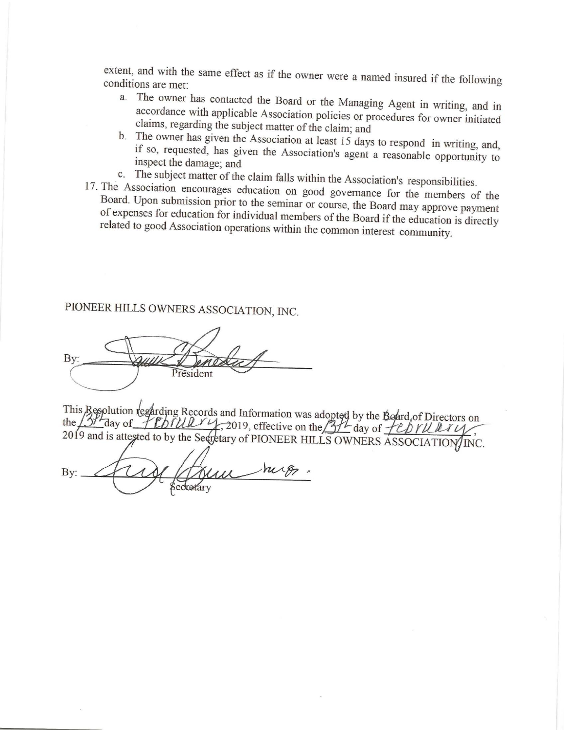extent, and with the same effect as if the owner were a named insured if the following conditions are met:

- a. The owner has contacted the Board or the Managing Agent in writing, and in accordance with applicable Association policies or procedures for owner initiated claims, regarding the subject matter of the claim; and
- b. The owner has given the Association at least 15 days to respond in writing, and, if so, requested, has given the Association's agent a reasonable opportunity to inspect the damage; and
- c. The subject matter of the claim falls within the Association's responsibilities.
- 17. The Association encourages education on good governance for the members of the Board. Upon submission prior to the seminar or course, the Board may approve payment of expenses for education for individual members of the Board if the education is directly related to good Association operations within the common interest community.

PIONEER HILLS OWNERS ASSOCIATION, INC.

By: President

This Resolution regarding Records and Information was adopted by the Board of Directors on the 13th day of PEDIULY 4, 2019, effective on the 3H day of FEDIULIY 2019 and is attested to by the Secretary of PIONEER HILLS OWNERS ASSOCIATION/INC.

hig